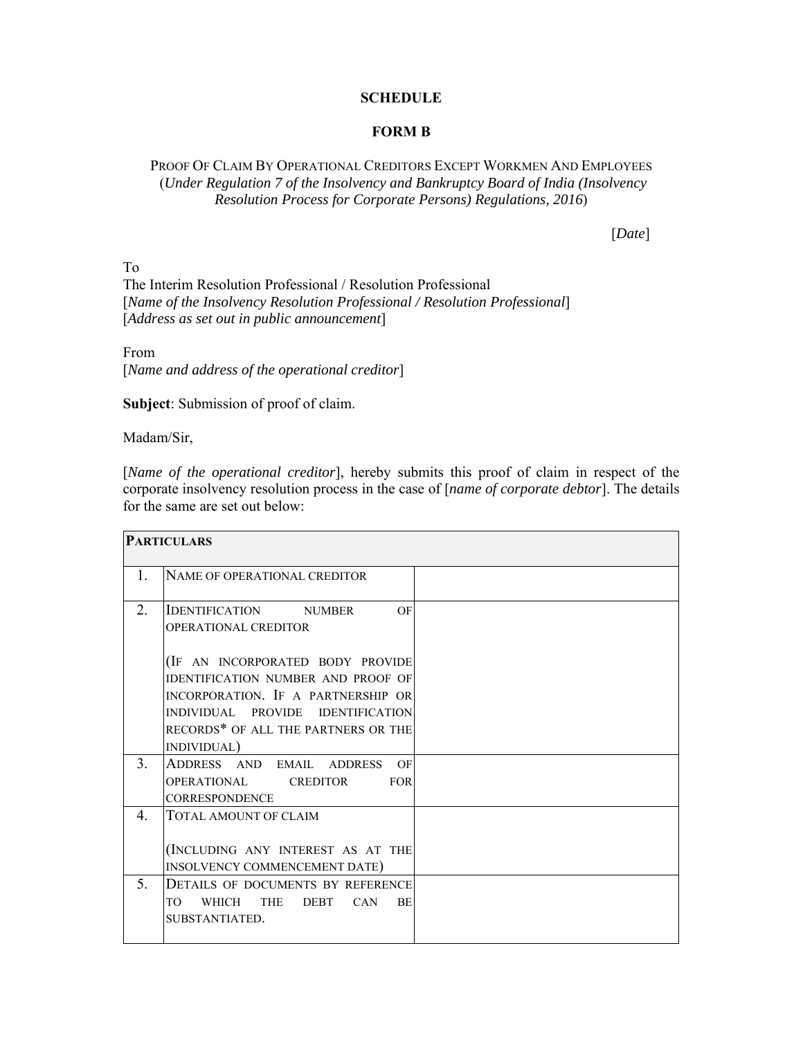## **SCHEDULE**

## **FORM B**

PROOF OF CLAIM BY OPERATIONAL CREDITORS EXCEPT WORKMEN AND EMPLOYEES (*Under Regulation 7 of the Insolvency and Bankruptcy Board of India (Insolvency Resolution Process for Corporate Persons) Regulations, 2016*)

[*Date*]

To The Interim Resolution Professional / Resolution Professional [*Name of the Insolvency Resolution Professional / Resolution Professional*] [*Address as set out in public announcement*]

From [*Name and address of the operational creditor*]

**Subject**: Submission of proof of claim.

Madam/Sir,

[*Name of the operational creditor*], hereby submits this proof of claim in respect of the corporate insolvency resolution process in the case of [*name of corporate debtor*]. The details for the same are set out below:

| <b>PARTICULARS</b> |                                                                         |  |
|--------------------|-------------------------------------------------------------------------|--|
| $\mathbf{1}$ .     | NAME OF OPERATIONAL CREDITOR                                            |  |
| 2.                 | <b>IDENTIFICATION NUMBER</b><br>OF<br>OPERATIONAL CREDITOR              |  |
|                    | (IF AN INCORPORATED BODY PROVIDE                                        |  |
|                    | <b>IDENTIFICATION NUMBER AND PROOF OF</b>                               |  |
|                    | INCORPORATION. IF A PARTNERSHIP OR<br>INDIVIDUAL PROVIDE IDENTIFICATION |  |
|                    | RECORDS* OF ALL THE PARTNERS OR THE                                     |  |
|                    | INDIVIDUAL)                                                             |  |
| 3 <sub>1</sub>     | ADDRESS AND EMAIL ADDRESS<br>OF                                         |  |
|                    | OPERATIONAL CREDITOR<br><b>FOR</b>                                      |  |
|                    | <b>CORRESPONDENCE</b>                                                   |  |
| 4.                 | TOTAL AMOUNT OF CLAIM                                                   |  |
|                    | (INCLUDING ANY INTEREST AS AT THE                                       |  |
|                    | INSOLVENCY COMMENCEMENT DATE)                                           |  |
| 5.                 | DETAILS OF DOCUMENTS BY REFERENCE                                       |  |
|                    | WHICH THE DEBT<br><b>CAN</b><br>TO<br><b>BE</b>                         |  |
|                    | SUBSTANTIATED.                                                          |  |
|                    |                                                                         |  |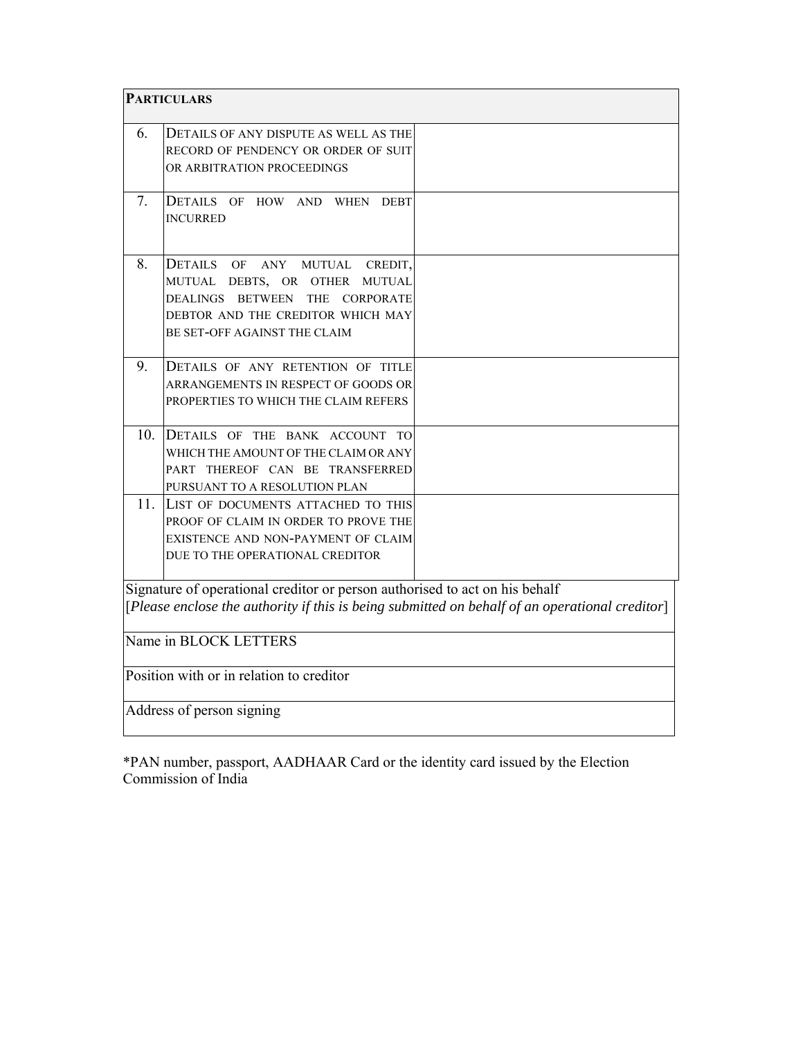| <b>PARTICULARS</b>                       |                                                                                                                                                                                          |                                                                                                |  |
|------------------------------------------|------------------------------------------------------------------------------------------------------------------------------------------------------------------------------------------|------------------------------------------------------------------------------------------------|--|
| 6.                                       | DETAILS OF ANY DISPUTE AS WELL AS THE<br>RECORD OF PENDENCY OR ORDER OF SUIT<br>OR ARBITRATION PROCEEDINGS                                                                               |                                                                                                |  |
| 7.                                       | DETAILS OF HOW AND WHEN DEBT<br><b>INCURRED</b>                                                                                                                                          |                                                                                                |  |
| 8.                                       | DETAILS OF<br><b>MUTUAL</b><br>ANY<br>CREDIT,<br>MUTUAL DEBTS, OR OTHER MUTUAL<br>DEALINGS BETWEEN<br>THE CORPORATE<br>DEBTOR AND THE CREDITOR WHICH MAY<br>BE SET-OFF AGAINST THE CLAIM |                                                                                                |  |
| 9.                                       | DETAILS OF ANY RETENTION OF TITLE<br>ARRANGEMENTS IN RESPECT OF GOODS OR<br>PROPERTIES TO WHICH THE CLAIM REFERS                                                                         |                                                                                                |  |
| 10.                                      | DETAILS OF THE BANK ACCOUNT TO<br>WHICH THE AMOUNT OF THE CLAIM OR ANY<br>PART THEREOF CAN BE TRANSFERRED<br>PURSUANT TO A RESOLUTION PLAN                                               |                                                                                                |  |
| 11.                                      | LIST OF DOCUMENTS ATTACHED TO THIS<br>PROOF OF CLAIM IN ORDER TO PROVE THE<br>EXISTENCE AND NON-PAYMENT OF CLAIM<br>DUE TO THE OPERATIONAL CREDITOR                                      |                                                                                                |  |
|                                          | Signature of operational creditor or person authorised to act on his behalf                                                                                                              | [Please enclose the authority if this is being submitted on behalf of an operational creditor] |  |
| Name in BLOCK LETTERS                    |                                                                                                                                                                                          |                                                                                                |  |
| Position with or in relation to creditor |                                                                                                                                                                                          |                                                                                                |  |
| Address of person signing                |                                                                                                                                                                                          |                                                                                                |  |

\*PAN number, passport, AADHAAR Card or the identity card issued by the Election Commission of India